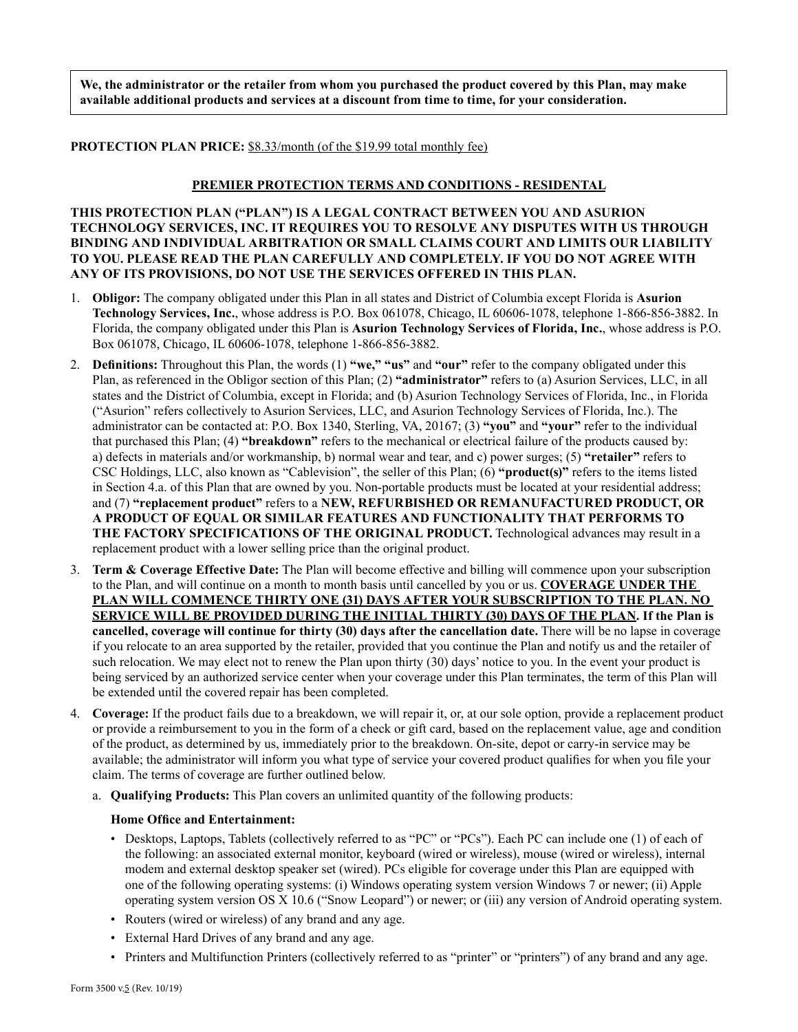**We, the administrator or the retailer from whom you purchased the product covered by this Plan, may make available additional products and services at a discount from time to time, for your consideration.** 

**PROTECTION PLAN PRICE:** \$8.33/month (of the \$19.99 total monthly fee)

## **PREMIER PROTECTION TERMS AND CONDITIONS - RESIDENTAL**

**THIS PROTECTION PLAN ("PLAN") IS A LEGAL CONTRACT BETWEEN YOU AND ASURION TECHNOLOGY SERVICES, INC. IT REQUIRES YOU TO RESOLVE ANY DISPUTES WITH US THROUGH BINDING AND INDIVIDUAL ARBITRATION OR SMALL CLAIMS COURT AND LIMITS OUR LIABILITY TO YOU. PLEASE READ THE PLAN CAREFULLY AND COMPLETELY. IF YOU DO NOT AGREE WITH ANY OF ITS PROVISIONS, DO NOT USE THE SERVICES OFFERED IN THIS PLAN.** 

- 1. **Obligor:** The company obligated under this Plan in all states and District of Columbia except Florida is **Asurion Technology Services, Inc.**, whose address is P.O. Box 061078, Chicago, IL 60606-1078, telephone 1-866-856-3882. In Florida, the company obligated under this Plan is **Asurion Technology Services of Florida, Inc.**, whose address is P.O. Box 061078, Chicago, IL 60606-1078, telephone 1-866-856-3882.
- 2. **Definitions:** Throughout this Plan, the words (1) **"we," "us"** and **"our"** refer to the company obligated under this Plan, as referenced in the Obligor section of this Plan; (2) **"administrator"** refers to (a) Asurion Services, LLC, in all states and the District of Columbia, except in Florida; and (b) Asurion Technology Services of Florida, Inc., in Florida ("Asurion" refers collectively to Asurion Services, LLC, and Asurion Technology Services of Florida, Inc.). The administrator can be contacted at: P.O. Box 1340, Sterling, VA, 20167; (3) **"you"** and **"your"** refer to the individual that purchased this Plan; (4) **"breakdown"** refers to the mechanical or electrical failure of the products caused by: a) defects in materials and/or workmanship, b) normal wear and tear, and c) power surges; (5) **"retailer"** refers to CSC Holdings, LLC, also known as "Cablevision", the seller of this Plan; (6) **"product(s)"** refers to the items listed in Section 4.a. of this Plan that are owned by you. Non-portable products must be located at your residential address; and (7) **"replacement product"** refers to a **NEW, REFURBISHED OR REMANUFACTURED PRODUCT, OR A PRODUCT OF EQUAL OR SIMILAR FEATURES AND FUNCTIONALITY THAT PERFORMS TO THE FACTORY SPECIFICATIONS OF THE ORIGINAL PRODUCT.** Technological advances may result in a replacement product with a lower selling price than the original product.
- 3. **Term & Coverage Effective Date:** The Plan will become effective and billing will commence upon your subscription to the Plan, and will continue on a month to month basis until cancelled by you or us. **COVERAGE UNDER THE PLAN WILL COMMENCE THIRTY ONE (31) DAYS AFTER YOUR SUBSCRIPTION TO THE PLAN. NO SERVICE WILL BE PROVIDED DURING THE INITIAL THIRTY (30) DAYS OF THE PLAN. If the Plan is cancelled, coverage will continue for thirty (30) days after the cancellation date.** There will be no lapse in coverage if you relocate to an area supported by the retailer, provided that you continue the Plan and notify us and the retailer of such relocation. We may elect not to renew the Plan upon thirty (30) days' notice to you. In the event your product is being serviced by an authorized service center when your coverage under this Plan terminates, the term of this Plan will be extended until the covered repair has been completed.
- 4. **Coverage:** If the product fails due to a breakdown, we will repair it, or, at our sole option, provide a replacement product or provide a reimbursement to you in the form of a check or gift card, based on the replacement value, age and condition of the product, as determined by us, immediately prior to the breakdown. On-site, depot or carry-in service may be available; the administrator will inform you what type of service your covered product qualifies for when you file your claim. The terms of coverage are further outlined below.
	- a. **Qualifying Products:** This Plan covers an unlimited quantity of the following products:

## **Home Office and Entertainment:**

- Desktops, Laptops, Tablets (collectively referred to as "PC" or "PCs"). Each PC can include one (1) of each of the following: an associated external monitor, keyboard (wired or wireless), mouse (wired or wireless), internal modem and external desktop speaker set (wired). PCs eligible for coverage under this Plan are equipped with one of the following operating systems: (i) Windows operating system version Windows 7 or newer; (ii) Apple operating system version OS X 10.6 ("Snow Leopard") or newer; or (iii) any version of Android operating system.
- Routers (wired or wireless) of any brand and any age.
- External Hard Drives of any brand and any age.
- Printers and Multifunction Printers (collectively referred to as "printer" or "printers") of any brand and any age.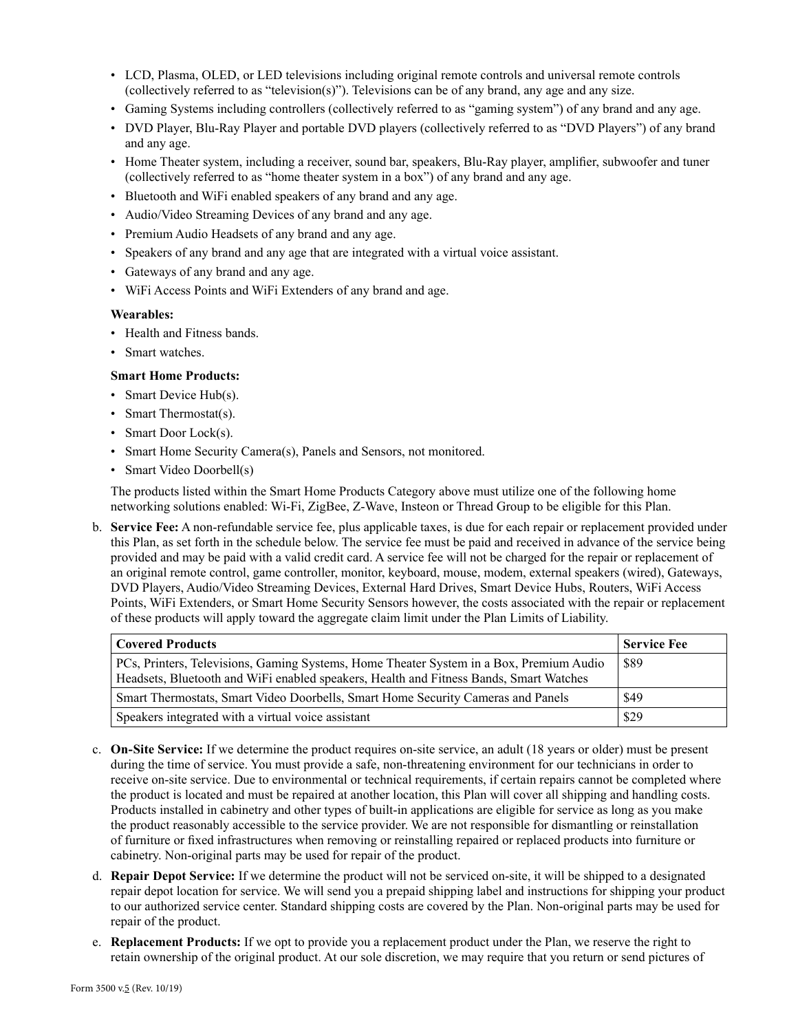- LCD, Plasma, OLED, or LED televisions including original remote controls and universal remote controls (collectively referred to as "television(s)"). Televisions can be of any brand, any age and any size.
- Gaming Systems including controllers (collectively referred to as "gaming system") of any brand and any age.
- DVD Player, Blu-Ray Player and portable DVD players (collectively referred to as "DVD Players") of any brand and any age.
- Home Theater system, including a receiver, sound bar, speakers, Blu-Ray player, amplifier, subwoofer and tuner (collectively referred to as "home theater system in a box") of any brand and any age.
- Bluetooth and WiFi enabled speakers of any brand and any age.
- Audio/Video Streaming Devices of any brand and any age.
- Premium Audio Headsets of any brand and any age.
- Speakers of any brand and any age that are integrated with a virtual voice assistant.
- Gateways of any brand and any age.
- WiFi Access Points and WiFi Extenders of any brand and age.

## **Wearables:**

- Health and Fitness bands.
- Smart watches.

# **Smart Home Products:**

- Smart Device Hub(s).
- Smart Thermostat(s).
- Smart Door Lock(s).
- Smart Home Security Camera(s), Panels and Sensors, not monitored.
- Smart Video Doorbell(s)

The products listed within the Smart Home Products Category above must utilize one of the following home networking solutions enabled: Wi-Fi, ZigBee, Z-Wave, Insteon or Thread Group to be eligible for this Plan.

b. **Service Fee:** A non-refundable service fee, plus applicable taxes, is due for each repair or replacement provided under this Plan, as set forth in the schedule below. The service fee must be paid and received in advance of the service being provided and may be paid with a valid credit card. A service fee will not be charged for the repair or replacement of an original remote control, game controller, monitor, keyboard, mouse, modem, external speakers (wired), Gateways, DVD Players, Audio/Video Streaming Devices, External Hard Drives, Smart Device Hubs, Routers, WiFi Access Points, WiFi Extenders, or Smart Home Security Sensors however, the costs associated with the repair or replacement of these products will apply toward the aggregate claim limit under the Plan Limits of Liability.

| <b>Covered Products</b>                                                                                                                                                           | Service Fee |
|-----------------------------------------------------------------------------------------------------------------------------------------------------------------------------------|-------------|
| PCs, Printers, Televisions, Gaming Systems, Home Theater System in a Box, Premium Audio<br>Headsets, Bluetooth and WiFi enabled speakers, Health and Fitness Bands, Smart Watches | \$89        |
| Smart Thermostats, Smart Video Doorbells, Smart Home Security Cameras and Panels                                                                                                  | \$49        |
| Speakers integrated with a virtual voice assistant                                                                                                                                | \$29        |

- c. **On-Site Service:** If we determine the product requires on-site service, an adult (18 years or older) must be present during the time of service. You must provide a safe, non-threatening environment for our technicians in order to receive on-site service. Due to environmental or technical requirements, if certain repairs cannot be completed where the product is located and must be repaired at another location, this Plan will cover all shipping and handling costs. Products installed in cabinetry and other types of built-in applications are eligible for service as long as you make the product reasonably accessible to the service provider. We are not responsible for dismantling or reinstallation of furniture or fixed infrastructures when removing or reinstalling repaired or replaced products into furniture or cabinetry. Non-original parts may be used for repair of the product.
- d. **Repair Depot Service:** If we determine the product will not be serviced on-site, it will be shipped to a designated repair depot location for service. We will send you a prepaid shipping label and instructions for shipping your product to our authorized service center. Standard shipping costs are covered by the Plan. Non-original parts may be used for repair of the product.
- e. **Replacement Products:** If we opt to provide you a replacement product under the Plan, we reserve the right to retain ownership of the original product. At our sole discretion, we may require that you return or send pictures of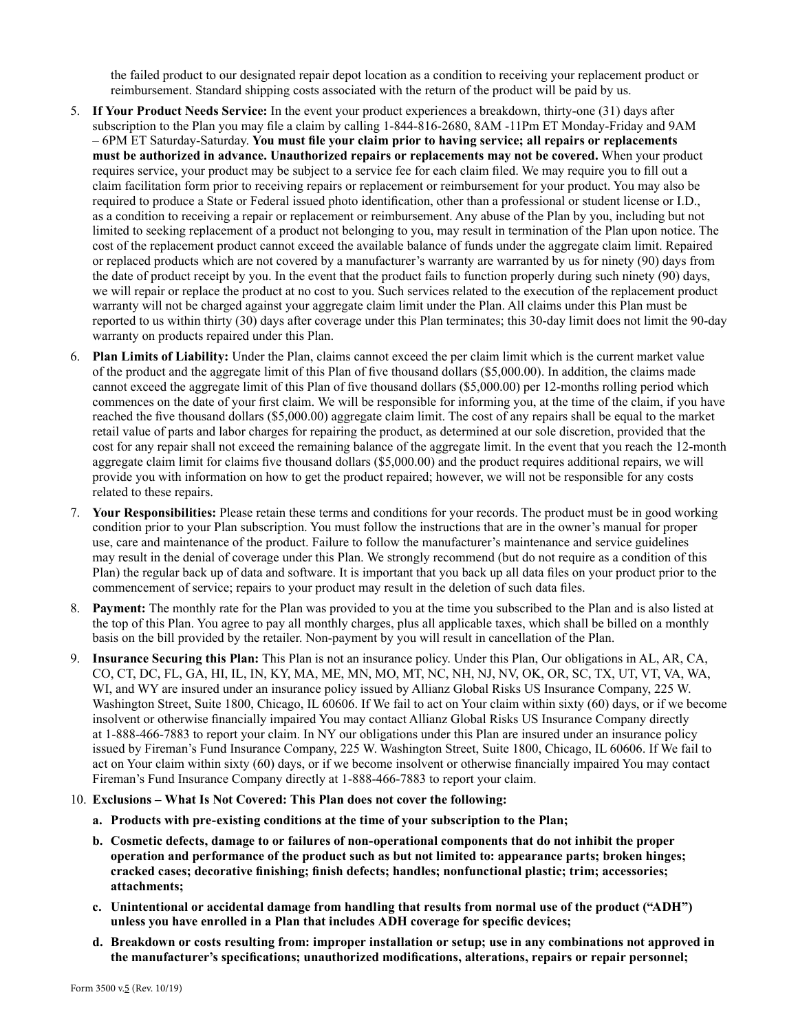the failed product to our designated repair depot location as a condition to receiving your replacement product or reimbursement. Standard shipping costs associated with the return of the product will be paid by us.

- 5. **If Your Product Needs Service:** In the event your product experiences a breakdown, thirty-one (31) days after subscription to the Plan you may file a claim by calling 1-844-816-2680, 8AM -11Pm ET Monday-Friday and 9AM – 6PM ET Saturday-Saturday. **You must file your claim prior to having service; all repairs or replacements must be authorized in advance. Unauthorized repairs or replacements may not be covered.** When your product requires service, your product may be subject to a service fee for each claim filed. We may require you to fill out a claim facilitation form prior to receiving repairs or replacement or reimbursement for your product. You may also be required to produce a State or Federal issued photo identification, other than a professional or student license or I.D., as a condition to receiving a repair or replacement or reimbursement. Any abuse of the Plan by you, including but not limited to seeking replacement of a product not belonging to you, may result in termination of the Plan upon notice. The cost of the replacement product cannot exceed the available balance of funds under the aggregate claim limit. Repaired or replaced products which are not covered by a manufacturer's warranty are warranted by us for ninety (90) days from the date of product receipt by you. In the event that the product fails to function properly during such ninety (90) days, we will repair or replace the product at no cost to you. Such services related to the execution of the replacement product warranty will not be charged against your aggregate claim limit under the Plan. All claims under this Plan must be reported to us within thirty (30) days after coverage under this Plan terminates; this 30-day limit does not limit the 90-day warranty on products repaired under this Plan.
- 6. **Plan Limits of Liability:** Under the Plan, claims cannot exceed the per claim limit which is the current market value of the product and the aggregate limit of this Plan of five thousand dollars (\$5,000.00). In addition, the claims made cannot exceed the aggregate limit of this Plan of five thousand dollars (\$5,000.00) per 12-months rolling period which commences on the date of your first claim. We will be responsible for informing you, at the time of the claim, if you have reached the five thousand dollars (\$5,000.00) aggregate claim limit. The cost of any repairs shall be equal to the market retail value of parts and labor charges for repairing the product, as determined at our sole discretion, provided that the cost for any repair shall not exceed the remaining balance of the aggregate limit. In the event that you reach the 12-month aggregate claim limit for claims five thousand dollars (\$5,000.00) and the product requires additional repairs, we will provide you with information on how to get the product repaired; however, we will not be responsible for any costs related to these repairs.
- 7. **Your Responsibilities:** Please retain these terms and conditions for your records. The product must be in good working condition prior to your Plan subscription. You must follow the instructions that are in the owner's manual for proper use, care and maintenance of the product. Failure to follow the manufacturer's maintenance and service guidelines may result in the denial of coverage under this Plan. We strongly recommend (but do not require as a condition of this Plan) the regular back up of data and software. It is important that you back up all data files on your product prior to the commencement of service; repairs to your product may result in the deletion of such data files.
- 8. **Payment:** The monthly rate for the Plan was provided to you at the time you subscribed to the Plan and is also listed at the top of this Plan. You agree to pay all monthly charges, plus all applicable taxes, which shall be billed on a monthly basis on the bill provided by the retailer. Non-payment by you will result in cancellation of the Plan.
- 9. **Insurance Securing this Plan:** This Plan is not an insurance policy. Under this Plan, Our obligations in AL, AR, CA, CO, CT, DC, FL, GA, HI, IL, IN, KY, MA, ME, MN, MO, MT, NC, NH, NJ, NV, OK, OR, SC, TX, UT, VT, VA, WA, WI, and WY are insured under an insurance policy issued by Allianz Global Risks US Insurance Company, 225 W. Washington Street, Suite 1800, Chicago, IL 60606. If We fail to act on Your claim within sixty (60) days, or if we become insolvent or otherwise financially impaired You may contact Allianz Global Risks US Insurance Company directly at 1-888-466-7883 to report your claim. In NY our obligations under this Plan are insured under an insurance policy issued by Fireman's Fund Insurance Company, 225 W. Washington Street, Suite 1800, Chicago, IL 60606. If We fail to act on Your claim within sixty (60) days, or if we become insolvent or otherwise financially impaired You may contact Fireman's Fund Insurance Company directly at 1-888-466-7883 to report your claim.
- 10. **Exclusions What Is Not Covered: This Plan does not cover the following:**
	- **a. Products with pre-existing conditions at the time of your subscription to the Plan;**
	- **b. Cosmetic defects, damage to or failures of non-operational components that do not inhibit the proper operation and performance of the product such as but not limited to: appearance parts; broken hinges; cracked cases; decorative finishing; finish defects; handles; nonfunctional plastic; trim; accessories; attachments;**
	- **c. Unintentional or accidental damage from handling that results from normal use of the product ("ADH") unless you have enrolled in a Plan that includes ADH coverage for specific devices;**
	- **d. Breakdown or costs resulting from: improper installation or setup; use in any combinations not approved in the manufacturer's specifications; unauthorized modifications, alterations, repairs or repair personnel;**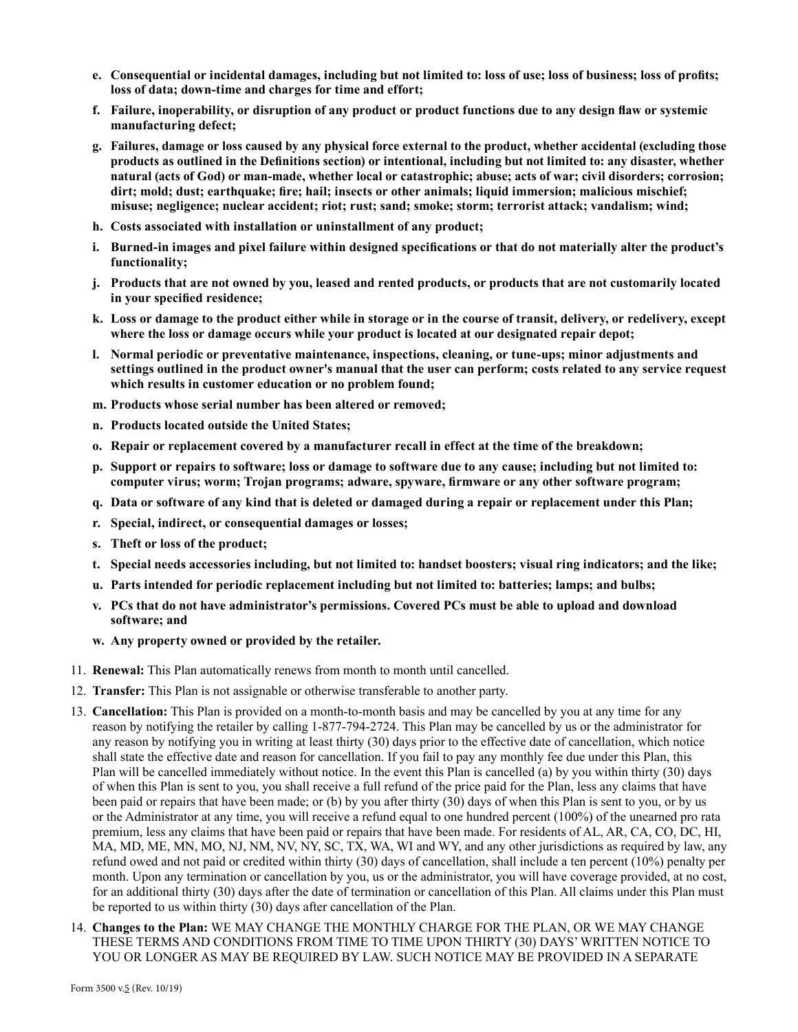- **e. Consequential or incidental damages, including but not limited to: loss of use; loss of business; loss of profits; loss of data; down-time and charges for time and effort;**
- **f. Failure, inoperability, or disruption of any product or product functions due to any design flaw or systemic manufacturing defect;**
- **g. Failures, damage or loss caused by any physical force external to the product, whether accidental (excluding those products as outlined in the Definitions section) or intentional, including but not limited to: any disaster, whether natural (acts of God) or man-made, whether local or catastrophic; abuse; acts of war; civil disorders; corrosion; dirt; mold; dust; earthquake; fire; hail; insects or other animals; liquid immersion; malicious mischief; misuse; negligence; nuclear accident; riot; rust; sand; smoke; storm; terrorist attack; vandalism; wind;**
- **h. Costs associated with installation or uninstallment of any product;**
- **i. Burned-in images and pixel failure within designed specifications or that do not materially alter the product's functionality;**
- **j. Products that are not owned by you, leased and rented products, or products that are not customarily located in your specified residence;**
- **k. Loss or damage to the product either while in storage or in the course of transit, delivery, or redelivery, except where the loss or damage occurs while your product is located at our designated repair depot;**
- **l. Normal periodic or preventative maintenance, inspections, cleaning, or tune-ups; minor adjustments and settings outlined in the product owner's manual that the user can perform; costs related to any service request which results in customer education or no problem found;**
- **m. Products whose serial number has been altered or removed;**
- **n. Products located outside the United States;**
- **o. Repair or replacement covered by a manufacturer recall in effect at the time of the breakdown;**
- **p. Support or repairs to software; loss or damage to software due to any cause; including but not limited to: computer virus; worm; Trojan programs; adware, spyware, firmware or any other software program;**
- **q. Data or software of any kind that is deleted or damaged during a repair or replacement under this Plan;**
- **r. Special, indirect, or consequential damages or losses;**
- **s. Theft or loss of the product;**
- **t. Special needs accessories including, but not limited to: handset boosters; visual ring indicators; and the like;**
- **u. Parts intended for periodic replacement including but not limited to: batteries; lamps; and bulbs;**
- **v. PCs that do not have administrator's permissions. Covered PCs must be able to upload and download software; and**
- **w. Any property owned or provided by the retailer.**
- 11. **Renewal:** This Plan automatically renews from month to month until cancelled.
- 12. **Transfer:** This Plan is not assignable or otherwise transferable to another party.
- 13. **Cancellation:** This Plan is provided on a month-to-month basis and may be cancelled by you at any time for any reason by notifying the retailer by calling 1-877-794-2724. This Plan may be cancelled by us or the administrator for any reason by notifying you in writing at least thirty (30) days prior to the effective date of cancellation, which notice shall state the effective date and reason for cancellation. If you fail to pay any monthly fee due under this Plan, this Plan will be cancelled immediately without notice. In the event this Plan is cancelled (a) by you within thirty (30) days of when this Plan is sent to you, you shall receive a full refund of the price paid for the Plan, less any claims that have been paid or repairs that have been made; or (b) by you after thirty (30) days of when this Plan is sent to you, or by us or the Administrator at any time, you will receive a refund equal to one hundred percent (100%) of the unearned pro rata premium, less any claims that have been paid or repairs that have been made. For residents of AL, AR, CA, CO, DC, HI, MA, MD, ME, MN, MO, NJ, NM, NV, NY, SC, TX, WA, WI and WY, and any other jurisdictions as required by law, any refund owed and not paid or credited within thirty (30) days of cancellation, shall include a ten percent (10%) penalty per month. Upon any termination or cancellation by you, us or the administrator, you will have coverage provided, at no cost, for an additional thirty (30) days after the date of termination or cancellation of this Plan. All claims under this Plan must be reported to us within thirty (30) days after cancellation of the Plan.
- 14. **Changes to the Plan:** WE MAY CHANGE THE MONTHLY CHARGE FOR THE PLAN, OR WE MAY CHANGE THESE TERMS AND CONDITIONS FROM TIME TO TIME UPON THIRTY (30) DAYS' WRITTEN NOTICE TO YOU OR LONGER AS MAY BE REQUIRED BY LAW. SUCH NOTICE MAY BE PROVIDED IN A SEPARATE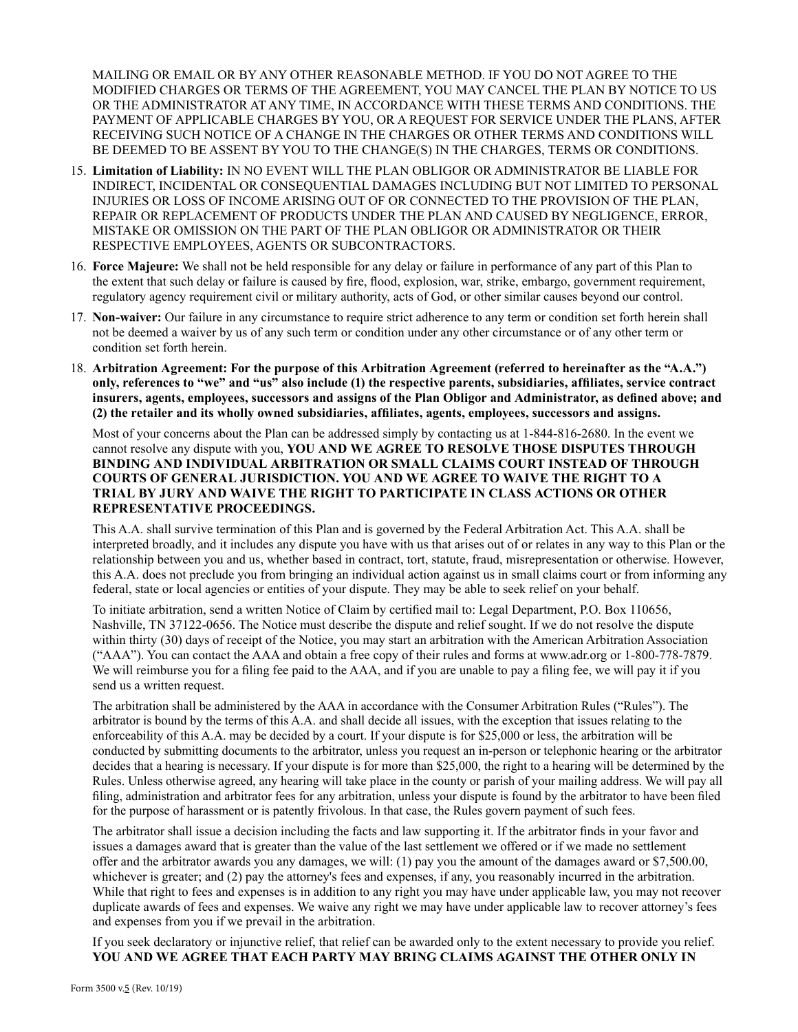MAILING OR EMAIL OR BY ANY OTHER REASONABLE METHOD. IF YOU DO NOT AGREE TO THE MODIFIED CHARGES OR TERMS OF THE AGREEMENT, YOU MAY CANCEL THE PLAN BY NOTICE TO US OR THE ADMINISTRATOR AT ANY TIME, IN ACCORDANCE WITH THESE TERMS AND CONDITIONS. THE PAYMENT OF APPLICABLE CHARGES BY YOU, OR A REQUEST FOR SERVICE UNDER THE PLANS, AFTER RECEIVING SUCH NOTICE OF A CHANGE IN THE CHARGES OR OTHER TERMS AND CONDITIONS WILL BE DEEMED TO BE ASSENT BY YOU TO THE CHANGE(S) IN THE CHARGES, TERMS OR CONDITIONS.

- 15. **Limitation of Liability:** IN NO EVENT WILL THE PLAN OBLIGOR OR ADMINISTRATOR BE LIABLE FOR INDIRECT, INCIDENTAL OR CONSEQUENTIAL DAMAGES INCLUDING BUT NOT LIMITED TO PERSONAL INJURIES OR LOSS OF INCOME ARISING OUT OF OR CONNECTED TO THE PROVISION OF THE PLAN, REPAIR OR REPLACEMENT OF PRODUCTS UNDER THE PLAN AND CAUSED BY NEGLIGENCE, ERROR, MISTAKE OR OMISSION ON THE PART OF THE PLAN OBLIGOR OR ADMINISTRATOR OR THEIR RESPECTIVE EMPLOYEES, AGENTS OR SUBCONTRACTORS.
- 16. **Force Majeure:** We shall not be held responsible for any delay or failure in performance of any part of this Plan to the extent that such delay or failure is caused by fire, flood, explosion, war, strike, embargo, government requirement, regulatory agency requirement civil or military authority, acts of God, or other similar causes beyond our control.
- 17. **Non-waiver:** Our failure in any circumstance to require strict adherence to any term or condition set forth herein shall not be deemed a waiver by us of any such term or condition under any other circumstance or of any other term or condition set forth herein.
- 18. **Arbitration Agreement: For the purpose of this Arbitration Agreement (referred to hereinafter as the "A.A.") only, references to "we" and "us" also include (1) the respective parents, subsidiaries, affiliates, service contract insurers, agents, employees, successors and assigns of the Plan Obligor and Administrator, as defined above; and (2) the retailer and its wholly owned subsidiaries, affiliates, agents, employees, successors and assigns.**

Most of your concerns about the Plan can be addressed simply by contacting us at 1-844-816-2680. In the event we cannot resolve any dispute with you, **YOU AND WE AGREE TO RESOLVE THOSE DISPUTES THROUGH BINDING AND INDIVIDUAL ARBITRATION OR SMALL CLAIMS COURT INSTEAD OF THROUGH COURTS OF GENERAL JURISDICTION. YOU AND WE AGREE TO WAIVE THE RIGHT TO A TRIAL BY JURY AND WAIVE THE RIGHT TO PARTICIPATE IN CLASS ACTIONS OR OTHER REPRESENTATIVE PROCEEDINGS.** 

This A.A. shall survive termination of this Plan and is governed by the Federal Arbitration Act. This A.A. shall be interpreted broadly, and it includes any dispute you have with us that arises out of or relates in any way to this Plan or the relationship between you and us, whether based in contract, tort, statute, fraud, misrepresentation or otherwise. However, this A.A. does not preclude you from bringing an individual action against us in small claims court or from informing any federal, state or local agencies or entities of your dispute. They may be able to seek relief on your behalf.

To initiate arbitration, send a written Notice of Claim by certified mail to: Legal Department, P.O. Box 110656, Nashville, TN 37122-0656. The Notice must describe the dispute and relief sought. If we do not resolve the dispute within thirty (30) days of receipt of the Notice, you may start an arbitration with the American Arbitration Association ("AAA"). You can contact the AAA and obtain a free copy of their rules and forms at www.adr.org or 1-800-778-7879. We will reimburse you for a filing fee paid to the AAA, and if you are unable to pay a filing fee, we will pay it if you send us a written request.

The arbitration shall be administered by the AAA in accordance with the Consumer Arbitration Rules ("Rules"). The arbitrator is bound by the terms of this A.A. and shall decide all issues, with the exception that issues relating to the enforceability of this A.A. may be decided by a court. If your dispute is for \$25,000 or less, the arbitration will be conducted by submitting documents to the arbitrator, unless you request an in-person or telephonic hearing or the arbitrator decides that a hearing is necessary. If your dispute is for more than \$25,000, the right to a hearing will be determined by the Rules. Unless otherwise agreed, any hearing will take place in the county or parish of your mailing address. We will pay all filing, administration and arbitrator fees for any arbitration, unless your dispute is found by the arbitrator to have been filed for the purpose of harassment or is patently frivolous. In that case, the Rules govern payment of such fees.

The arbitrator shall issue a decision including the facts and law supporting it. If the arbitrator finds in your favor and issues a damages award that is greater than the value of the last settlement we offered or if we made no settlement offer and the arbitrator awards you any damages, we will: (1) pay you the amount of the damages award or \$7,500.00, whichever is greater; and (2) pay the attorney's fees and expenses, if any, you reasonably incurred in the arbitration. While that right to fees and expenses is in addition to any right you may have under applicable law, you may not recover duplicate awards of fees and expenses. We waive any right we may have under applicable law to recover attorney's fees and expenses from you if we prevail in the arbitration.

If you seek declaratory or injunctive relief, that relief can be awarded only to the extent necessary to provide you relief. **YOU AND WE AGREE THAT EACH PARTY MAY BRING CLAIMS AGAINST THE OTHER ONLY IN**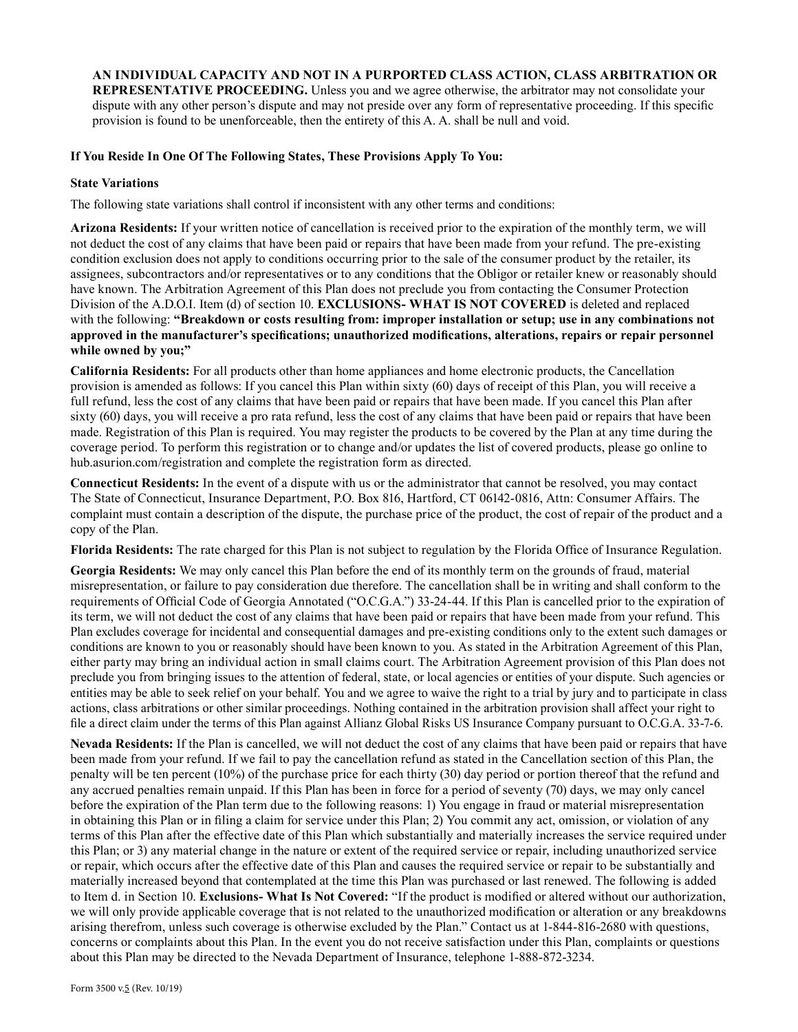**AN INDIVIDUAL CAPACITY AND NOT IN A PURPORTED CLASS ACTION, CLASS ARBITRATION OR REPRESENTATIVE PROCEEDING.** Unless you and we agree otherwise, the arbitrator may not consolidate your dispute with any other person's dispute and may not preside over any form of representative proceeding. If this specific provision is found to be unenforceable, then the entirety of this A. A. shall be null and void.

### **If You Reside In One Of The Following States, These Provisions Apply To You:**

#### **State Variations**

The following state variations shall control if inconsistent with any other terms and conditions:

**Arizona Residents:** If your written notice of cancellation is received prior to the expiration of the monthly term, we will not deduct the cost of any claims that have been paid or repairs that have been made from your refund. The pre-existing condition exclusion does not apply to conditions occurring prior to the sale of the consumer product by the retailer, its assignees, subcontractors and/or representatives or to any conditions that the Obligor or retailer knew or reasonably should have known. The Arbitration Agreement of this Plan does not preclude you from contacting the Consumer Protection Division of the A.D.O.I. Item (d) of section 10. **EXCLUSIONS- WHAT IS NOT COVERED** is deleted and replaced with the following: **"Breakdown or costs resulting from: improper installation or setup; use in any combinations not approved in the manufacturer's specifications; unauthorized modifications, alterations, repairs or repair personnel while owned by you;"**

**California Residents:** For all products other than home appliances and home electronic products, the Cancellation provision is amended as follows: If you cancel this Plan within sixty (60) days of receipt of this Plan, you will receive a full refund, less the cost of any claims that have been paid or repairs that have been made. If you cancel this Plan after sixty (60) days, you will receive a pro rata refund, less the cost of any claims that have been paid or repairs that have been made. Registration of this Plan is required. You may register the products to be covered by the Plan at any time during the coverage period. To perform this registration or to change and/or updates the list of covered products, please go online to hub.asurion.com/registration and complete the registration form as directed.

**Connecticut Residents:** In the event of a dispute with us or the administrator that cannot be resolved, you may contact The State of Connecticut, Insurance Department, P.O. Box 816, Hartford, CT 06142-0816, Attn: Consumer Affairs. The complaint must contain a description of the dispute, the purchase price of the product, the cost of repair of the product and a copy of the Plan.

**Florida Residents:** The rate charged for this Plan is not subject to regulation by the Florida Office of Insurance Regulation.

**Georgia Residents:** We may only cancel this Plan before the end of its monthly term on the grounds of fraud, material misrepresentation, or failure to pay consideration due therefore. The cancellation shall be in writing and shall conform to the requirements of Official Code of Georgia Annotated ("O.C.G.A.") 33-24-44. If this Plan is cancelled prior to the expiration of its term, we will not deduct the cost of any claims that have been paid or repairs that have been made from your refund. This Plan excludes coverage for incidental and consequential damages and pre-existing conditions only to the extent such damages or conditions are known to you or reasonably should have been known to you. As stated in the Arbitration Agreement of this Plan, either party may bring an individual action in small claims court. The Arbitration Agreement provision of this Plan does not preclude you from bringing issues to the attention of federal, state, or local agencies or entities of your dispute. Such agencies or entities may be able to seek relief on your behalf. You and we agree to waive the right to a trial by jury and to participate in class actions, class arbitrations or other similar proceedings. Nothing contained in the arbitration provision shall affect your right to file a direct claim under the terms of this Plan against Allianz Global Risks US Insurance Company pursuant to O.C.G.A. 33-7-6.

**Nevada Residents:** If the Plan is cancelled, we will not deduct the cost of any claims that have been paid or repairs that have been made from your refund. If we fail to pay the cancellation refund as stated in the Cancellation section of this Plan, the penalty will be ten percent (10%) of the purchase price for each thirty (30) day period or portion thereof that the refund and any accrued penalties remain unpaid. If this Plan has been in force for a period of seventy (70) days, we may only cancel before the expiration of the Plan term due to the following reasons: 1) You engage in fraud or material misrepresentation in obtaining this Plan or in filing a claim for service under this Plan; 2) You commit any act, omission, or violation of any terms of this Plan after the effective date of this Plan which substantially and materially increases the service required under this Plan; or 3) any material change in the nature or extent of the required service or repair, including unauthorized service or repair, which occurs after the effective date of this Plan and causes the required service or repair to be substantially and materially increased beyond that contemplated at the time this Plan was purchased or last renewed. The following is added to Item d. in Section 10. **Exclusions- What Is Not Covered:** "If the product is modified or altered without our authorization, we will only provide applicable coverage that is not related to the unauthorized modification or alteration or any breakdowns arising therefrom, unless such coverage is otherwise excluded by the Plan." Contact us at 1-844-816-2680 with questions, concerns or complaints about this Plan. In the event you do not receive satisfaction under this Plan, complaints or questions about this Plan may be directed to the Nevada Department of Insurance, telephone 1-888-872-3234.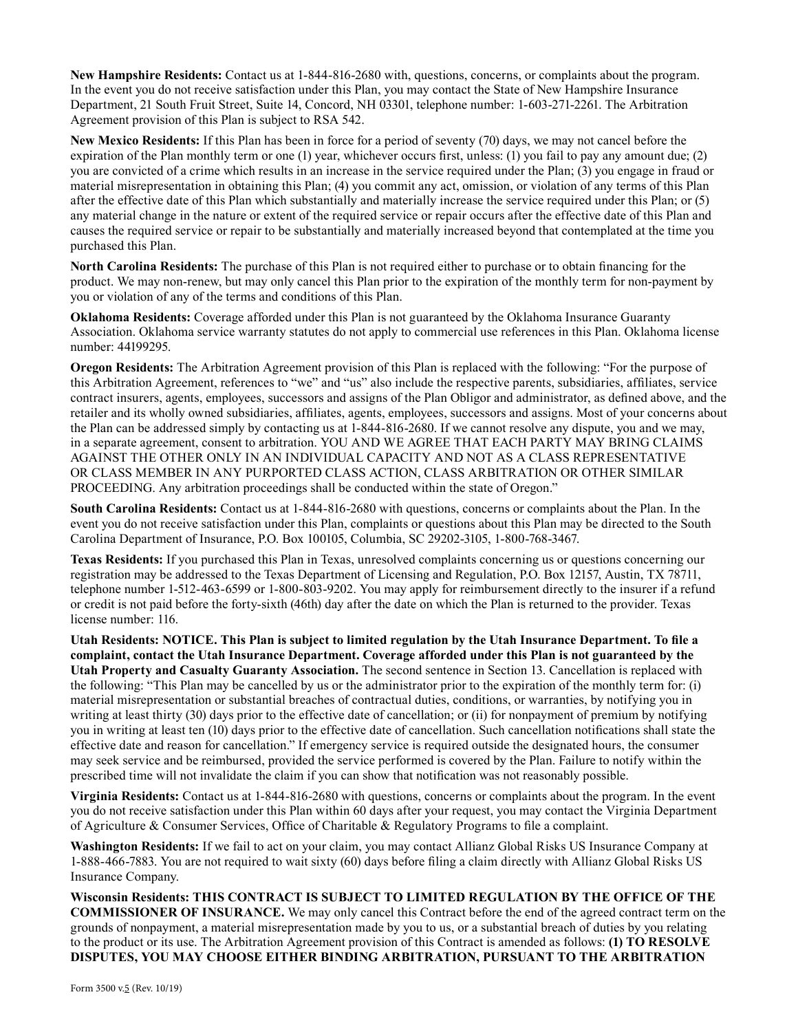**New Hampshire Residents:** Contact us at 1-844-816-2680 with, questions, concerns, or complaints about the program. In the event you do not receive satisfaction under this Plan, you may contact the State of New Hampshire Insurance Department, 21 South Fruit Street, Suite 14, Concord, NH 03301, telephone number: 1-603-271-2261. The Arbitration Agreement provision of this Plan is subject to RSA 542.

**New Mexico Residents:** If this Plan has been in force for a period of seventy (70) days, we may not cancel before the expiration of the Plan monthly term or one (1) year, whichever occurs first, unless: (1) you fail to pay any amount due; (2) you are convicted of a crime which results in an increase in the service required under the Plan; (3) you engage in fraud or material misrepresentation in obtaining this Plan; (4) you commit any act, omission, or violation of any terms of this Plan after the effective date of this Plan which substantially and materially increase the service required under this Plan; or (5) any material change in the nature or extent of the required service or repair occurs after the effective date of this Plan and causes the required service or repair to be substantially and materially increased beyond that contemplated at the time you purchased this Plan.

**North Carolina Residents:** The purchase of this Plan is not required either to purchase or to obtain financing for the product. We may non-renew, but may only cancel this Plan prior to the expiration of the monthly term for non-payment by you or violation of any of the terms and conditions of this Plan.

**Oklahoma Residents:** Coverage afforded under this Plan is not guaranteed by the Oklahoma Insurance Guaranty Association. Oklahoma service warranty statutes do not apply to commercial use references in this Plan. Oklahoma license number: 44199295.

**Oregon Residents:** The Arbitration Agreement provision of this Plan is replaced with the following: "For the purpose of this Arbitration Agreement, references to "we" and "us" also include the respective parents, subsidiaries, affiliates, service contract insurers, agents, employees, successors and assigns of the Plan Obligor and administrator, as defined above, and the retailer and its wholly owned subsidiaries, affiliates, agents, employees, successors and assigns. Most of your concerns about the Plan can be addressed simply by contacting us at 1-844-816-2680. If we cannot resolve any dispute, you and we may, in a separate agreement, consent to arbitration. YOU AND WE AGREE THAT EACH PARTY MAY BRING CLAIMS AGAINST THE OTHER ONLY IN AN INDIVIDUAL CAPACITY AND NOT AS A CLASS REPRESENTATIVE OR CLASS MEMBER IN ANY PURPORTED CLASS ACTION, CLASS ARBITRATION OR OTHER SIMILAR PROCEEDING. Any arbitration proceedings shall be conducted within the state of Oregon."

**South Carolina Residents:** Contact us at 1-844-816-2680 with questions, concerns or complaints about the Plan. In the event you do not receive satisfaction under this Plan, complaints or questions about this Plan may be directed to the South Carolina Department of Insurance, P.O. Box 100105, Columbia, SC 29202-3105, 1-800-768-3467.

**Texas Residents:** If you purchased this Plan in Texas, unresolved complaints concerning us or questions concerning our registration may be addressed to the Texas Department of Licensing and Regulation, P.O. Box 12157, Austin, TX 78711, telephone number 1-512-463-6599 or 1-800-803-9202. You may apply for reimbursement directly to the insurer if a refund or credit is not paid before the forty-sixth (46th) day after the date on which the Plan is returned to the provider. Texas license number: 116.

**Utah Residents: NOTICE. This Plan is subject to limited regulation by the Utah Insurance Department. To file a complaint, contact the Utah Insurance Department. Coverage afforded under this Plan is not guaranteed by the Utah Property and Casualty Guaranty Association.** The second sentence in Section 13. Cancellation is replaced with the following: "This Plan may be cancelled by us or the administrator prior to the expiration of the monthly term for: (i) material misrepresentation or substantial breaches of contractual duties, conditions, or warranties, by notifying you in writing at least thirty (30) days prior to the effective date of cancellation; or (ii) for nonpayment of premium by notifying you in writing at least ten (10) days prior to the effective date of cancellation. Such cancellation notifications shall state the effective date and reason for cancellation." If emergency service is required outside the designated hours, the consumer may seek service and be reimbursed, provided the service performed is covered by the Plan. Failure to notify within the prescribed time will not invalidate the claim if you can show that notification was not reasonably possible.

**Virginia Residents:** Contact us at 1-844-816-2680 with questions, concerns or complaints about the program. In the event you do not receive satisfaction under this Plan within 60 days after your request, you may contact the Virginia Department of Agriculture & Consumer Services, Office of Charitable & Regulatory Programs to file a complaint.

**Washington Residents:** If we fail to act on your claim, you may contact Allianz Global Risks US Insurance Company at 1-888-466-7883. You are not required to wait sixty (60) days before filing a claim directly with Allianz Global Risks US Insurance Company.

**Wisconsin Residents: THIS CONTRACT IS SUBJECT TO LIMITED REGULATION BY THE OFFICE OF THE COMMISSIONER OF INSURANCE.** We may only cancel this Contract before the end of the agreed contract term on the grounds of nonpayment, a material misrepresentation made by you to us, or a substantial breach of duties by you relating to the product or its use. The Arbitration Agreement provision of this Contract is amended as follows: **(1) TO RESOLVE DISPUTES, YOU MAY CHOOSE EITHER BINDING ARBITRATION, PURSUANT TO THE ARBITRATION**